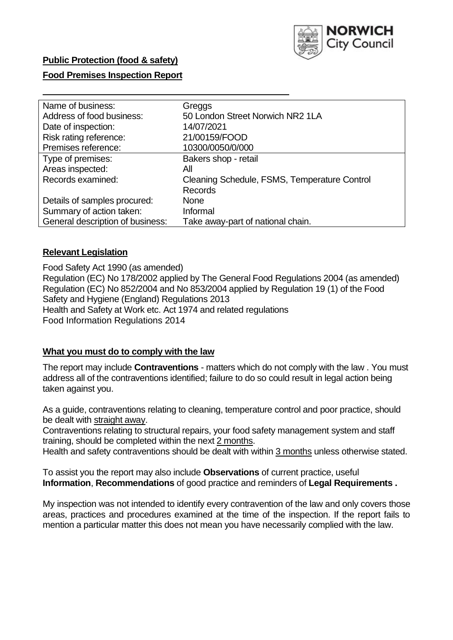

## **Public Protection (food & safety)**

### **Food Premises Inspection Report**

| Name of business:                | Greggs                                       |
|----------------------------------|----------------------------------------------|
| Address of food business:        | 50 London Street Norwich NR2 1LA             |
| Date of inspection:              | 14/07/2021                                   |
| Risk rating reference:           | 21/00159/FOOD                                |
| Premises reference:              | 10300/0050/0/000                             |
| Type of premises:                | Bakers shop - retail                         |
| Areas inspected:                 | All                                          |
| Records examined:                | Cleaning Schedule, FSMS, Temperature Control |
|                                  | <b>Records</b>                               |
| Details of samples procured:     | <b>None</b>                                  |
| Summary of action taken:         | Informal                                     |
| General description of business: | Take away-part of national chain.            |

### **Relevant Legislation**

 Food Safety Act 1990 (as amended) Regulation (EC) No 178/2002 applied by The General Food Regulations 2004 (as amended) Regulation (EC) No 852/2004 and No 853/2004 applied by Regulation 19 (1) of the Food Safety and Hygiene (England) Regulations 2013 Health and Safety at Work etc. Act 1974 and related regulations Food Information Regulations 2014

### **What you must do to comply with the law**

 The report may include **Contraventions** - matters which do not comply with the law . You must address all of the contraventions identified; failure to do so could result in legal action being taken against you.

 As a guide, contraventions relating to cleaning, temperature control and poor practice, should be dealt with straight away.

 Contraventions relating to structural repairs, your food safety management system and staff training, should be completed within the next 2 months.

Health and safety contraventions should be dealt with within 3 months unless otherwise stated.

 To assist you the report may also include **Observations** of current practice, useful **Information**, **Recommendations** of good practice and reminders of **Legal Requirements .** 

 My inspection was not intended to identify every contravention of the law and only covers those areas, practices and procedures examined at the time of the inspection. If the report fails to mention a particular matter this does not mean you have necessarily complied with the law.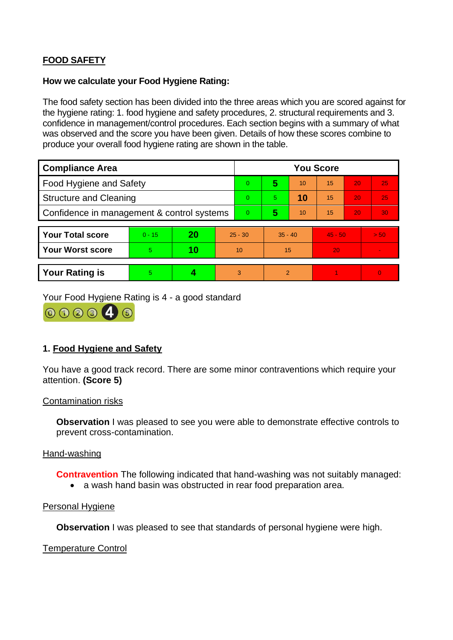# **FOOD SAFETY**

### **How we calculate your Food Hygiene Rating:**

 The food safety section has been divided into the three areas which you are scored against for the hygiene rating: 1. food hygiene and safety procedures, 2. structural requirements and 3. confidence in management/control procedures. Each section begins with a summary of what was observed and the score you have been given. Details of how these scores combine to produce your overall food hygiene rating are shown in the table.

| <b>Compliance Area</b>                     |          |    |           | <b>You Score</b> |                |    |           |    |                |  |  |
|--------------------------------------------|----------|----|-----------|------------------|----------------|----|-----------|----|----------------|--|--|
| Food Hygiene and Safety                    |          |    |           | $\Omega$         | 5              | 10 | 15        | 20 | 25             |  |  |
| <b>Structure and Cleaning</b>              |          |    |           | $\Omega$         | 5.             | 10 | 15        | 20 | 25             |  |  |
| Confidence in management & control systems |          |    |           | $\overline{0}$   | 5              | 10 | 15        | 20 | 30             |  |  |
|                                            |          |    |           |                  |                |    |           |    |                |  |  |
| <b>Your Total score</b>                    | $0 - 15$ | 20 | $25 - 30$ |                  | $35 - 40$      |    | $45 - 50$ |    | > 50           |  |  |
| <b>Your Worst score</b>                    | 5        | 10 | 10        |                  | 15             |    | 20        |    |                |  |  |
|                                            |          |    |           |                  |                |    |           |    |                |  |  |
| <b>Your Rating is</b>                      | 5        |    |           | 3                | $\overline{2}$ |    |           |    | $\overline{0}$ |  |  |

Your Food Hygiene Rating is 4 - a good standard



# **1. Food Hygiene and Safety**

You have a good track record. There are some minor contraventions which require your attention. **(Score 5)** 

#### Contamination risks

**Observation** I was pleased to see you were able to demonstrate effective controls to prevent cross-contamination.

#### Hand-washing

**Contravention** The following indicated that hand-washing was not suitably managed:

• a wash hand basin was obstructed in rear food preparation area.

#### Personal Hygiene

**Observation** I was pleased to see that standards of personal hygiene were high.

Temperature Control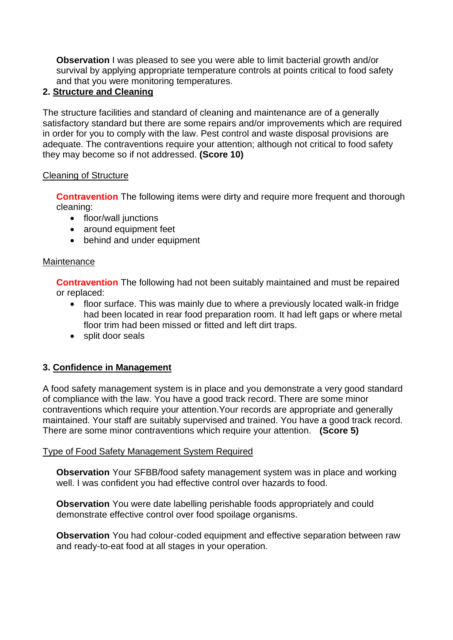**Observation** I was pleased to see you were able to limit bacterial growth and/or survival by applying appropriate temperature controls at points critical to food safety and that you were monitoring temperatures.

# **2. Structure and Cleaning**

 satisfactory standard but there are some repairs and/or improvements which are required The structure facilities and standard of cleaning and maintenance are of a generally in order for you to comply with the law. Pest control and waste disposal provisions are adequate. The contraventions require your attention; although not critical to food safety they may become so if not addressed. **(Score 10)** 

# Cleaning of Structure

**Contravention** The following items were dirty and require more frequent and thorough cleaning:

- floor/wall junctions
- around equipment feet
- behind and under equipment

## Maintenance

**Contravention** The following had not been suitably maintained and must be repaired or replaced:

- floor trim had been missed or fitted and left dirt traps. • floor surface. This was mainly due to where a previously located walk-in fridge had been located in rear food preparation room. It had left gaps or where metal
- split door seals

# **3. Confidence in Management**

 of compliance with the law. You have a good track record. There are some minor maintained. Your staff are suitably supervised and trained. You have a good track record. A food safety management system is in place and you demonstrate a very good standard contraventions which require your attention.Your records are appropriate and generally There are some minor contraventions which require your attention. **(Score 5)** 

# Type of Food Safety Management System Required

**Observation** Your SFBB/food safety management system was in place and working well. I was confident you had effective control over hazards to food.

**Observation** You were date labelling perishable foods appropriately and could demonstrate effective control over food spoilage organisms.

**Observation** You had colour-coded equipment and effective separation between raw and ready-to-eat food at all stages in your operation.